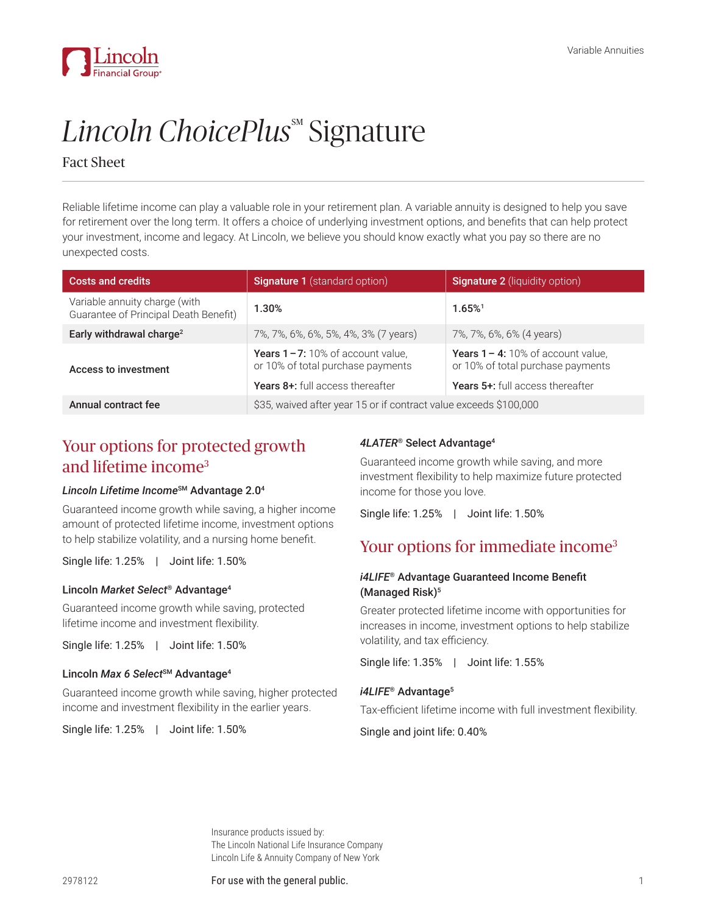

# Lincoln ChoicePlus<sup>®</sup> Signature

# Fact Sheet

Reliable lifetime income can play a valuable role in your retirement plan. A variable annuity is designed to help you save for retirement over the long term. It offers a choice of underlying investment options, and benefits that can help protect your investment, income and legacy. At Lincoln, we believe you should know exactly what you pay so there are no unexpected costs.

| <b>Costs and credits</b>                                               | <b>Signature 1</b> (standard option)                                                                             | <b>Signature 2</b> (liquidity option)                                                                              |
|------------------------------------------------------------------------|------------------------------------------------------------------------------------------------------------------|--------------------------------------------------------------------------------------------------------------------|
| Variable annuity charge (with<br>Guarantee of Principal Death Benefit) | $1.30\%$                                                                                                         | $1.65%$ <sup>1</sup>                                                                                               |
| Early withdrawal charge <sup>2</sup>                                   | 7%, 7%, 6%, 6%, 5%, 4%, 3% (7 years)                                                                             | 7%, 7%, 6%, 6% (4 years)                                                                                           |
| <b>Access to investment</b>                                            | <b>Years 1-7:</b> 10% of account value.<br>or 10% of total purchase payments<br>Years 8+: full access thereafter | <b>Years 1 – 4:</b> 10% of account value.<br>or 10% of total purchase payments<br>Years 5+: full access thereafter |
| Annual contract fee                                                    | \$35, waived after year 15 or if contract value exceeds \$100,000                                                |                                                                                                                    |

# Your options for protected growth and lifetime income3

## *Lincoln Lifetime Income*SM Advantage 2.0<sup>4</sup>

Guaranteed income growth while saving, a higher income amount of protected lifetime income, investment options to help stabilize volatility, and a nursing home benefit.

Single life: 1.25% | Joint life: 1.50%

## Lincoln *Market Select*® Advantage<sup>4</sup>

Guaranteed income growth while saving, protected lifetime income and investment flexibility.

Single life: 1.25% | Joint life: 1.50%

#### Lincoln Max 6 Select<sup>SM</sup> Advantage<sup>4</sup>

Guaranteed income growth while saving, higher protected income and investment flexibility in the earlier years.

Single life: 1.25% | Joint life: 1.50%

#### *4LATER*® Select Advantage<sup>4</sup>

Guaranteed income growth while saving, and more investment flexibility to help maximize future protected income for those you love.

Single life: 1.25% | Joint life: 1.50%

# Your options for immediate income<sup>3</sup>

## *i4LIFE*® Advantage Guaranteed Income Benefit (Managed Risk)<sup>5</sup>

Greater protected lifetime income with opportunities for increases in income, investment options to help stabilize volatility, and tax efficiency.

Single life: 1.35% | Joint life: 1.55%

# i4LIFE<sup>®</sup> Advantage<sup>5</sup>

Tax-efficient lifetime income with full investment flexibility.

Single and joint life: 0.40%

Insurance products issued by: The Lincoln National Life Insurance Company Lincoln Life & Annuity Company of New York